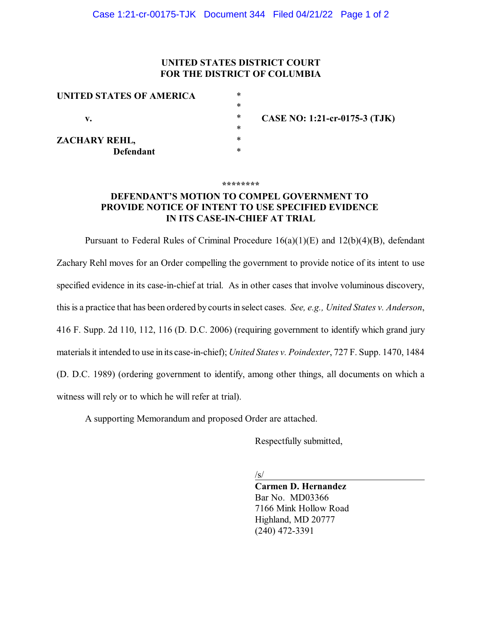## **UNITED STATES DISTRICT COURT FOR THE DISTRICT OF COLUMBIA**

| ∗ |                               |
|---|-------------------------------|
| ∗ |                               |
| ∗ | CASE NO: 1:21-cr-0175-3 (TJK) |
| ∗ |                               |
| ∗ |                               |
| ∗ |                               |
|   |                               |

**\*\*\*\*\*\*\*\***

## **DEFENDANT'S MOTION TO COMPEL GOVERNMENT TO PROVIDE NOTICE OF INTENT TO USE SPECIFIED EVIDENCE IN ITS CASE-IN-CHIEF AT TRIAL**

Pursuant to Federal Rules of Criminal Procedure 16(a)(1)(E) and 12(b)(4)(B), defendant Zachary Rehl moves for an Order compelling the government to provide notice of its intent to use specified evidence in its case-in-chief at trial. As in other cases that involve voluminous discovery, this is a practice that has been ordered by courts in select cases. *See, e.g., United States v. Anderson*, 416 F. Supp. 2d 110, 112, 116 (D. D.C. 2006) (requiring government to identify which grand jury materialsit intended to use in its case-in-chief); *United States v. Poindexter*, 727 F. Supp. 1470, 1484 (D. D.C. 1989) (ordering government to identify, among other things, all documents on which a witness will rely or to which he will refer at trial).

A supporting Memorandum and proposed Order are attached.

Respectfully submitted,

/s/

**Carmen D. Hernandez** Bar No. MD03366 7166 Mink Hollow Road Highland, MD 20777 (240) 472-3391